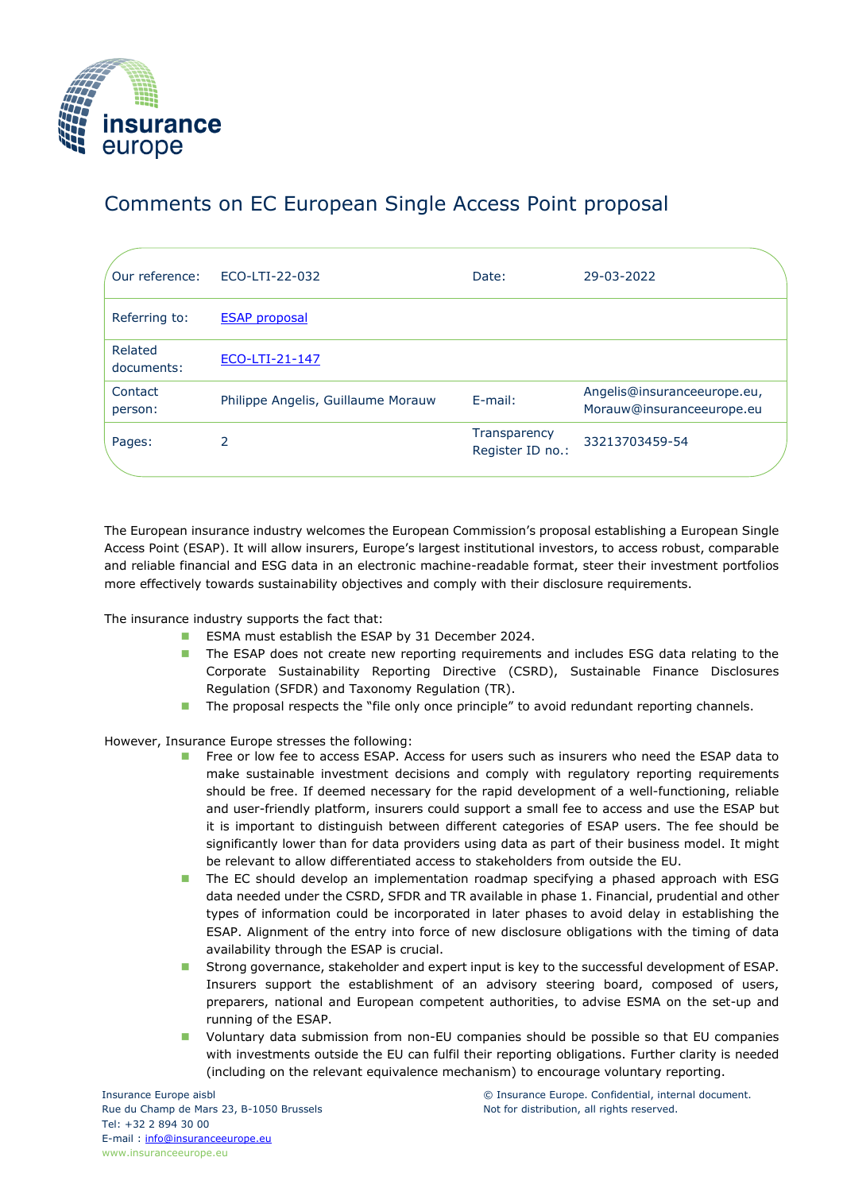

## Comments on EC European Single Access Point proposal

| Our reference:        | ECO-LTI-22-032                     | Date:                            | 29-03-2022                                               |
|-----------------------|------------------------------------|----------------------------------|----------------------------------------------------------|
| Referring to:         | <b>ESAP</b> proposal               |                                  |                                                          |
| Related<br>documents: | ECO-LTI-21-147                     |                                  |                                                          |
| Contact<br>person:    | Philippe Angelis, Guillaume Morauw | E-mail:                          | Angelis@insuranceeurope.eu,<br>Morauw@insuranceeurope.eu |
| Pages:                | 2                                  | Transparency<br>Register ID no.: | 33213703459-54                                           |

The European insurance industry welcomes the European Commission's proposal establishing a European Single Access Point (ESAP). It will allow insurers, Europe's largest institutional investors, to access robust, comparable and reliable financial and ESG data in an electronic machine-readable format, steer their investment portfolios more effectively towards sustainability objectives and comply with their disclosure requirements.

The insurance industry supports the fact that:

- ESMA must establish the ESAP by 31 December 2024.
- The ESAP does not create new reporting requirements and includes ESG data relating to the Corporate Sustainability Reporting Directive (CSRD), Sustainable Finance Disclosures Regulation (SFDR) and Taxonomy Regulation (TR).
- The proposal respects the "file only once principle" to avoid redundant reporting channels.

However, Insurance Europe stresses the following:

- Free or low fee to access ESAP. Access for users such as insurers who need the ESAP data to make sustainable investment decisions and comply with regulatory reporting requirements should be free. If deemed necessary for the rapid development of a well-functioning, reliable and user-friendly platform, insurers could support a small fee to access and use the ESAP but it is important to distinguish between different categories of ESAP users. The fee should be significantly lower than for data providers using data as part of their business model. It might be relevant to allow differentiated access to stakeholders from outside the EU.
- The EC should develop an implementation roadmap specifying a phased approach with ESG data needed under the CSRD, SFDR and TR available in phase 1. Financial, prudential and other types of information could be incorporated in later phases to avoid delay in establishing the ESAP. Alignment of the entry into force of new disclosure obligations with the timing of data availability through the ESAP is crucial.
- Strong governance, stakeholder and expert input is key to the successful development of ESAP. Insurers support the establishment of an advisory steering board, composed of users, preparers, national and European competent authorities, to advise ESMA on the set-up and running of the ESAP.
- ◼ Voluntary data submission from non-EU companies should be possible so that EU companies with investments outside the EU can fulfil their reporting obligations. Further clarity is needed (including on the relevant equivalence mechanism) to encourage voluntary reporting.